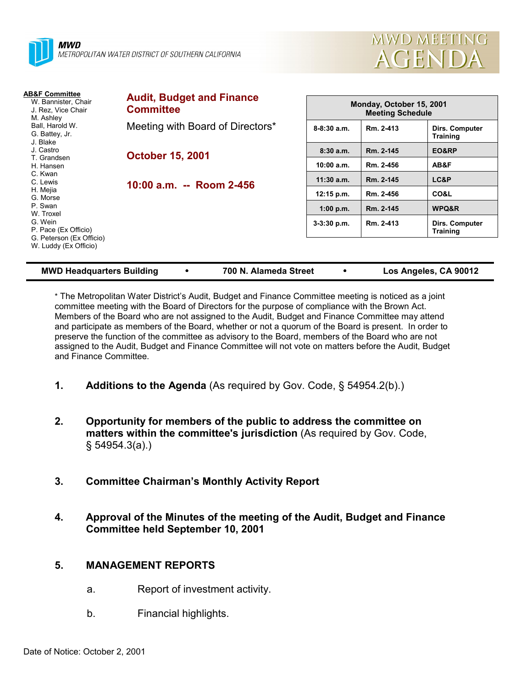



| AB&F Committee<br>W. Bannister, Chair<br>J. Rez. Vice Chair<br>M. Ashley<br>Ball, Harold W.<br>G. Battey, Jr.<br>J. Blake | <b>Audit, Budget and Finance</b><br><b>Committee</b> | Monday, October 15, 2001<br><b>Meeting Schedule</b> |           |                                   |
|---------------------------------------------------------------------------------------------------------------------------|------------------------------------------------------|-----------------------------------------------------|-----------|-----------------------------------|
|                                                                                                                           | Meeting with Board of Directors*                     | $8 - 8:30$ a.m.                                     | Rm. 2-413 | Dirs. Computer<br><b>Training</b> |
| J. Castro                                                                                                                 | <b>October 15, 2001</b><br>10:00 a.m. -- Room 2-456  | 8:30a.m.                                            | Rm. 2-145 | EO&RP                             |
| T. Grandsen<br>H. Hansen                                                                                                  |                                                      | 10:00 a.m.                                          | Rm. 2-456 | AB&F                              |
| C. Kwan<br>C. Lewis                                                                                                       |                                                      | $11:30$ a.m.                                        | Rm. 2-145 | LC&P                              |
| H. Mejia<br>G. Morse                                                                                                      |                                                      | 12:15 p.m.                                          | Rm. 2-456 | CO&L                              |
| P. Swan<br>W. Troxel                                                                                                      |                                                      | $1:00$ p.m.                                         | Rm. 2-145 | WPQ&R                             |
| G. Wein<br>P. Pace (Ex Officio)                                                                                           |                                                      | $3-3:30$ p.m.                                       | Rm. 2-413 | Dirs. Computer<br><b>Training</b> |
| G. Peterson (Ex Officio)<br>W. Luddy (Ex Officio)                                                                         |                                                      |                                                     |           |                                   |

#### **MWD Headquarters Building** ! **700 N. Alameda Street** ! **Los Angeles, CA 90012**

\* The Metropolitan Water Districtís Audit, Budget and Finance Committee meeting is noticed as a joint committee meeting with the Board of Directors for the purpose of compliance with the Brown Act. Members of the Board who are not assigned to the Audit, Budget and Finance Committee may attend and participate as members of the Board, whether or not a quorum of the Board is present. In order to preserve the function of the committee as advisory to the Board, members of the Board who are not assigned to the Audit, Budget and Finance Committee will not vote on matters before the Audit, Budget and Finance Committee.

- **1.** Additions to the Agenda (As required by Gov. Code, § 54954.2(b).)
- **2. Opportunity for members of the public to address the committee on matters within the committee's jurisdiction** (As required by Gov. Code, ß 54954.3(a).)
- **3. Committee Chairmanís Monthly Activity Report**
- **4. Approval of the Minutes of the meeting of the Audit, Budget and Finance Committee held September 10, 2001**

# **5. MANAGEMENT REPORTS**

- a. Report of investment activity.
- b. Financial highlights.